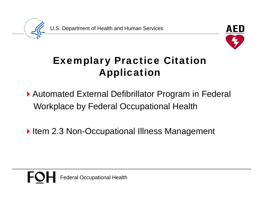U.S. Department of Health and Human Services



#### Exemplary Practice Citation Application

- ▶ Automated External Defibrillator Program in Federal Workplace by Federal Occupational Health
- Item 2.3 Non-Occupational Illness Management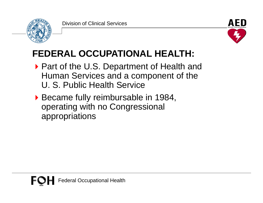



### **FEDERAL OCCUPATIONAL HEALTH:**

- ▶ Part of the U.S. Department of Health and Human Services and a component of the U. S. Public Health Service
- ▶ Became fully reimbursable in 1984, operating with no Congressional appropriations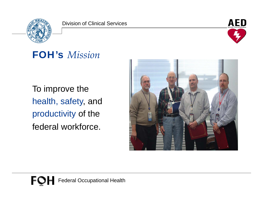



#### FOH's *Mission*

To improve the health, safety, and productivity of the federal workforce.

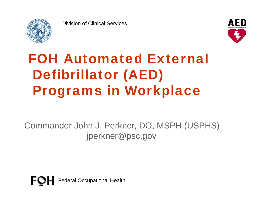



# FOH Automated External Defibrillator (AED) Programs in Workplace

Commander John J. Perkner, DO, MSPH (USPHS) jperkner@psc.gov

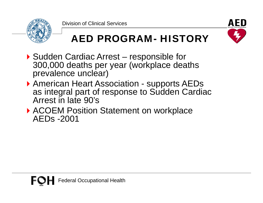



### AED PROGRAM- HISTORY

- ▶ Sudden Cardiac Arrest responsible for 300,000 deaths per year (workplace deaths prevalence unclear)
- ▶ American Heart Association supports AEDs as integral part of response to Sudden Cardiac Arrest in late 90's
- ▶ ACOEM Position Statement on workplace AEDs -2001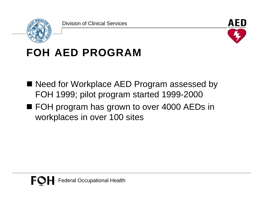



## FOH AED PROGRAM

- Need for Workplace AED Program assessed by FOH 1999; pilot program started 1999-2000
- FOH program has grown to over 4000 AEDs in workplaces in over 100 sites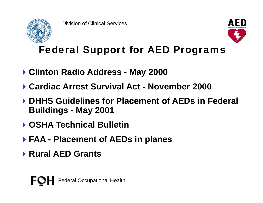



Federal Support for AED Programs

- **Clinton Radio Address - May 2000**
- **Cardiac Arrest Survival Act Cardiac - November 2000**
- **DHHS Guidelines for Placement of AEDs in Federal Buildings - May 2001**
- **OSHA Technical Bulletin**
- **FAA - Placement of AEDs in planes**
- **Rural AED Grants**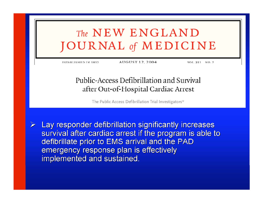### The NEW ENGLAND **JOURNAL** of **MEDICINE**

ESTABLISHED IN 1812

AUGUST 12, 2004

VOL. 351 NO. 7

#### Public-Access Defibrillation and Survival after Out-of-Hospital Cardiac Arrest

The Public Access Defibrillation Trial Investigators\*

Lay responder defibrillation significantly increases survival after cardiac arrest if the program is able to defibrillate prior to EMS arrival and the PAD emergency response plan is effectively implemented and sustained.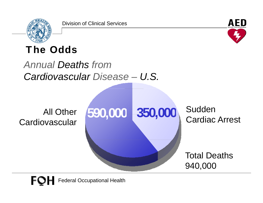



#### The Odds

#### *Annual Deaths fromCardiovascular Disease – U.S.*

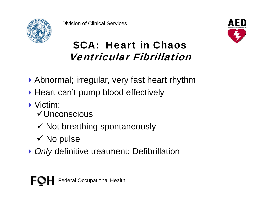



### SCA: Heart in Chaos Ventricular Fibrillation

- Abnormal; irregular, very fast heart rhythm
- ▶ Heart can't pump blood effectively
- **Victim:** 
	- Unconscious
	- $\checkmark$  Not breathing spontaneously
	- $\checkmark$  No pulse
- **▶ Only definitive treatment: Defibrillation**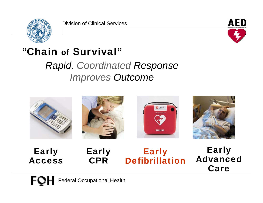



#### "Chain of Survival"

*Rapid, Coordinated Response Improves Outcome*



Early Access Early CPR

#### Early Defibrillation

Early Advanced Care

FOI Federal Occupational Health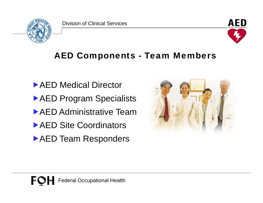



#### AED Components - Team Members

▶ AED Medical Director **AED Program Specialists AED Administrative Team** ▶ AED Site Coordinators **AED Team Responders** 

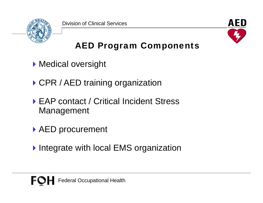



#### AED Program Components

- **Medical oversight**
- ▶ CPR / AED training organization
- ▶ EAP contact / Critical Incident Stress Management
- ▶ AED procurement
- ▶ Integrate with local EMS organization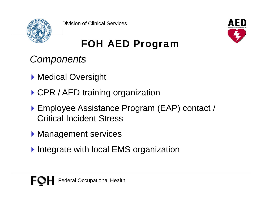



FOH AED Program

*Components*

- **Medical Oversight**
- ▶ CPR / AED training organization
- ▶ Employee Assistance Program (EAP) contact / Critical Incident Stress
- **Management services**
- Integrate with local EMS organization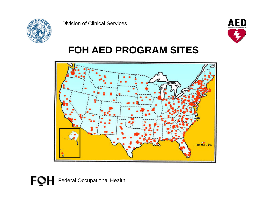



#### **FOH AED PROGRAM SITES**

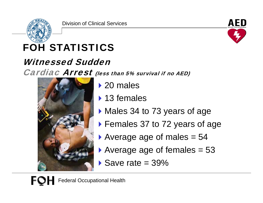



## FOH STATISTICS

#### Witnessed Sudden

Cardiac Arrest (less than 5% survival if no AED)



- ▶ 20 males
- ▶ 13 females
- $\blacktriangleright$  Males 34 to 73 years of age
- ▶ Females 37 to 72 years of age
- Average age of males  $= 54$
- Average age of females  $= 53$
- $\blacktriangleright$  Save rate = 39%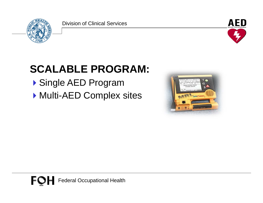



## **SCALABLE PROGRAM:**

- ▶ Single AED Program
- Multi-AED Complex sites

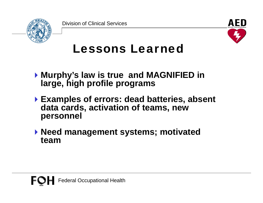



## Lessons Learned

- **Murphy's law is true and MAGNIFIED in large, high profile programs**
- **Examples of errors: dead batteries, absent data cards, activation of teams, new personnel**
- **Need management systems; motivated team**